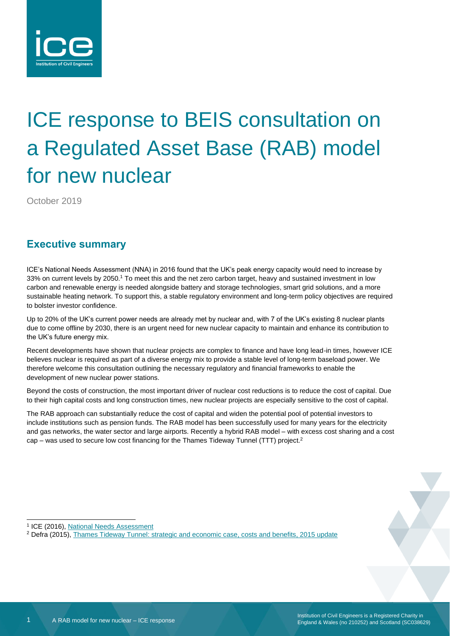

# ICE response to BEIS consultation on a Regulated Asset Base (RAB) model for new nuclear

October 2019

#### **Executive summary**

ICE's National Needs Assessment (NNA) in 2016 found that the UK's peak energy capacity would need to increase by 33% on current levels by 2050.<sup>1</sup> To meet this and the net zero carbon target, heavy and sustained investment in low carbon and renewable energy is needed alongside battery and storage technologies, smart grid solutions, and a more sustainable heating network. To support this, a stable regulatory environment and long-term policy objectives are required to bolster investor confidence.

Up to 20% of the UK's current power needs are already met by nuclear and, with 7 of the UK's existing 8 nuclear plants due to come offline by 2030, there is an urgent need for new nuclear capacity to maintain and enhance its contribution to the UK's future energy mix.

Recent developments have shown that nuclear projects are complex to finance and have long lead-in times, however ICE believes nuclear is required as part of a diverse energy mix to provide a stable level of long-term baseload power. We therefore welcome this consultation outlining the necessary regulatory and financial frameworks to enable the development of new nuclear power stations.

Beyond the costs of construction, the most important driver of nuclear cost reductions is to reduce the cost of capital. Due to their high capital costs and long construction times, new nuclear projects are especially sensitive to the cost of capital.

The RAB approach can substantially reduce the cost of capital and widen the potential pool of potential investors to include institutions such as pension funds. The RAB model has been successfully used for many years for the electricity and gas networks, the water sector and large airports. Recently a hybrid RAB model – with excess cost sharing and a cost cap – was used to secure low cost financing for the Thames Tideway Tunnel (TTT) project.<sup>2</sup>



<sup>&</sup>lt;sup>1</sup> ICE (2016), [National Needs Assessment](https://www.ice.org.uk/getattachment/news-and-insight/policy/national-needs-assessment-a-vision-for-uk-infrastr/National-Needs-Assessment-PDF-(1).pdf.aspx#_ga=2.173067043.1007543735.1547718488-1714938937.1528710932)

<sup>2</sup> Defra (2015), [Thames Tideway Tunnel: strategic and economic case, costs and benefits, 2015 update](https://www.gov.uk/government/publications/thames-tideway-tunnel-strategic-and-economic-case-costs-and-benefits-2015-update)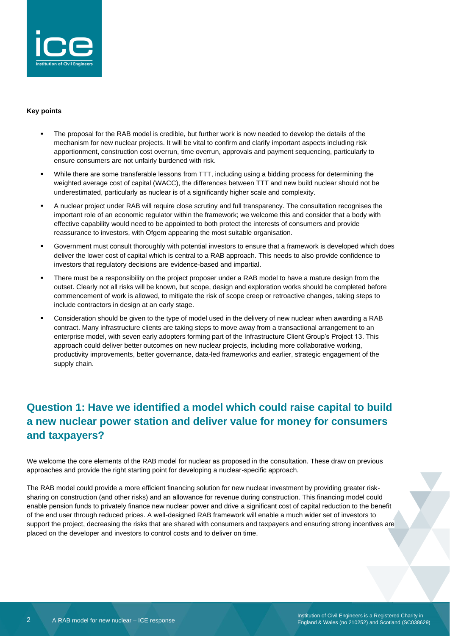

#### **Key points**

- The proposal for the RAB model is credible, but further work is now needed to develop the details of the mechanism for new nuclear projects. It will be vital to confirm and clarify important aspects including risk apportionment, construction cost overrun, time overrun, approvals and payment sequencing, particularly to ensure consumers are not unfairly burdened with risk.
- While there are some transferable lessons from TTT, including using a bidding process for determining the weighted average cost of capital (WACC), the differences between TTT and new build nuclear should not be underestimated, particularly as nuclear is of a significantly higher scale and complexity.
- A nuclear project under RAB will require close scrutiny and full transparency. The consultation recognises the important role of an economic regulator within the framework; we welcome this and consider that a body with effective capability would need to be appointed to both protect the interests of consumers and provide reassurance to investors, with Ofgem appearing the most suitable organisation.
- Government must consult thoroughly with potential investors to ensure that a framework is developed which does deliver the lower cost of capital which is central to a RAB approach. This needs to also provide confidence to investors that regulatory decisions are evidence-based and impartial.
- There must be a responsibility on the project proposer under a RAB model to have a mature design from the outset. Clearly not all risks will be known, but scope, design and exploration works should be completed before commencement of work is allowed, to mitigate the risk of scope creep or retroactive changes, taking steps to include contractors in design at an early stage.
- Consideration should be given to the type of model used in the delivery of new nuclear when awarding a RAB contract. Many infrastructure clients are taking steps to move away from a transactional arrangement to an enterprise model, with seven early adopters forming part of the Infrastructure Client Group's Project 13. This approach could deliver better outcomes on new nuclear projects, including more collaborative working, productivity improvements, better governance, data-led frameworks and earlier, strategic engagement of the supply chain.

## **Question 1: Have we identified a model which could raise capital to build a new nuclear power station and deliver value for money for consumers and taxpayers?**

We welcome the core elements of the RAB model for nuclear as proposed in the consultation. These draw on previous approaches and provide the right starting point for developing a nuclear-specific approach.

The RAB model could provide a more efficient financing solution for new nuclear investment by providing greater risksharing on construction (and other risks) and an allowance for revenue during construction. This financing model could enable pension funds to privately finance new nuclear power and drive a significant cost of capital reduction to the benefit of the end user through reduced prices. A well-designed RAB framework will enable a much wider set of investors to support the project, decreasing the risks that are shared with consumers and taxpayers and ensuring strong incentives are placed on the developer and investors to control costs and to deliver on time.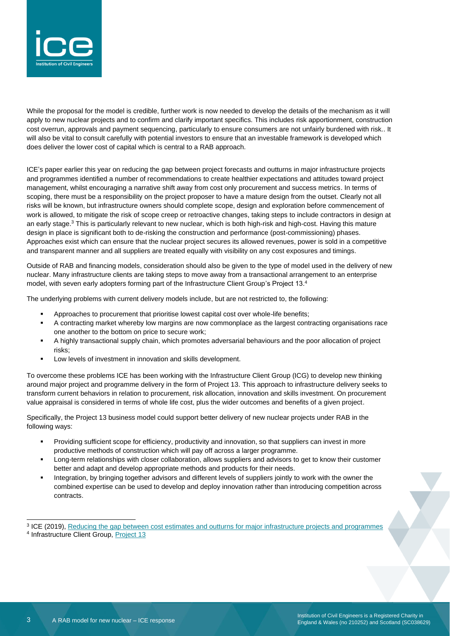

While the proposal for the model is credible, further work is now needed to develop the details of the mechanism as it will apply to new nuclear projects and to confirm and clarify important specifics. This includes risk apportionment, construction cost overrun, approvals and payment sequencing, particularly to ensure consumers are not unfairly burdened with risk.. It will also be vital to consult carefully with potential investors to ensure that an investable framework is developed which does deliver the lower cost of capital which is central to a RAB approach.

ICE's paper earlier this year on reducing the gap between project forecasts and outturns in major infrastructure projects and programmes identified a number of recommendations to create healthier expectations and attitudes toward project management, whilst encouraging a narrative shift away from cost only procurement and success metrics. In terms of scoping, there must be a responsibility on the project proposer to have a mature design from the outset. Clearly not all risks will be known, but infrastructure owners should complete scope, design and exploration before commencement of work is allowed, to mitigate the risk of scope creep or retroactive changes, taking steps to include contractors in design at an early stage.<sup>3</sup> This is particularly relevant to new nuclear, which is both high-risk and high-cost. Having this mature design in place is significant both to de-risking the construction and performance (post-commissioning) phases. Approaches exist which can ensure that the nuclear project secures its allowed revenues, power is sold in a competitive and transparent manner and all suppliers are treated equally with visibility on any cost exposures and timings.

Outside of RAB and financing models, consideration should also be given to the type of model used in the delivery of new nuclear. Many infrastructure clients are taking steps to move away from a transactional arrangement to an enterprise model, with seven early adopters forming part of the Infrastructure Client Group's Project 13.4

The underlying problems with current delivery models include, but are not restricted to, the following:

- Approaches to procurement that prioritise lowest capital cost over whole-life benefits;
- A contracting market whereby low margins are now commonplace as the largest contracting organisations race one another to the bottom on price to secure work;
- A highly transactional supply chain, which promotes adversarial behaviours and the poor allocation of project risks;
- Low levels of investment in innovation and skills development.

To overcome these problems ICE has been working with the Infrastructure Client Group (ICG) to develop new thinking around major project and programme delivery in the form of Project 13. This approach to infrastructure delivery seeks to transform current behaviors in relation to procurement, risk allocation, innovation and skills investment. On procurement value appraisal is considered in terms of whole life cost, plus the wider outcomes and benefits of a given project.

Specifically, the Project 13 business model could support better delivery of new nuclear projects under RAB in the following ways:

- Providing sufficient scope for efficiency, productivity and innovation, so that suppliers can invest in more productive methods of construction which will pay off across a larger programme.
- Long-term relationships with closer collaboration, allows suppliers and advisors to get to know their customer better and adapt and develop appropriate methods and products for their needs.
- Integration, by bringing together advisors and different levels of suppliers jointly to work with the owner the combined expertise can be used to develop and deploy innovation rather than introducing competition across contracts.

<sup>&</sup>lt;sup>3</sup> ICE (2019), [Reducing the gap between cost estimates and outturns for major infrastructure projects and programmes](https://www.ice.org.uk/getattachment/news-and-insight/policy/gap-between-estimates-and-outturns/ICE-Report-Reducing-the-gap-between-cost-estimates-and-outturns-for-major-infrastructure-projects-and-programmes.pdf.aspx#_ga=2.199774510.1239250141.1570435124-1714938937.1528710932) <sup>4</sup> Infrastructure Client Group, [Project 13](http://www.p13.org.uk/)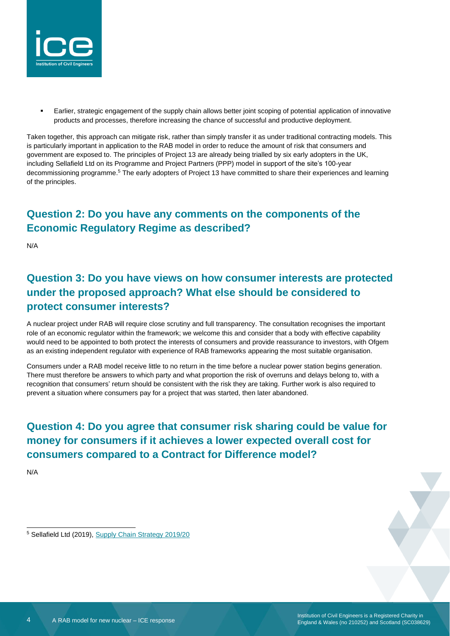

Earlier, strategic engagement of the supply chain allows better joint scoping of potential application of innovative products and processes, therefore increasing the chance of successful and productive deployment.

Taken together, this approach can mitigate risk, rather than simply transfer it as under traditional contracting models. This is particularly important in application to the RAB model in order to reduce the amount of risk that consumers and government are exposed to. The principles of Project 13 are already being trialled by six early adopters in the UK, including Sellafield Ltd on its Programme and Project Partners (PPP) model in support of the site's 100-year decommissioning programme.<sup>5</sup> The early adopters of Project 13 have committed to share their experiences and learning of the principles.

### **Question 2: Do you have any comments on the components of the Economic Regulatory Regime as described?**

N/A

# **Question 3: Do you have views on how consumer interests are protected under the proposed approach? What else should be considered to protect consumer interests?**

A nuclear project under RAB will require close scrutiny and full transparency. The consultation recognises the important role of an economic regulator within the framework; we welcome this and consider that a body with effective capability would need to be appointed to both protect the interests of consumers and provide reassurance to investors, with Ofgem as an existing independent regulator with experience of RAB frameworks appearing the most suitable organisation.

Consumers under a RAB model receive little to no return in the time before a nuclear power station begins generation. There must therefore be answers to which party and what proportion the risk of overruns and delays belong to, with a recognition that consumers' return should be consistent with the risk they are taking. Further work is also required to prevent a situation where consumers pay for a project that was started, then later abandoned.

**Question 4: Do you agree that consumer risk sharing could be value for money for consumers if it achieves a lower expected overall cost for consumers compared to a Contract for Difference model?**

N/A

<sup>5</sup> Sellafield Ltd (2019), [Supply Chain Strategy 2019/20](https://assets.publishing.service.gov.uk/government/uploads/system/uploads/attachment_data/file/797031/SUPPLY_CHAIN_STRATEGY_FINAL.pdf)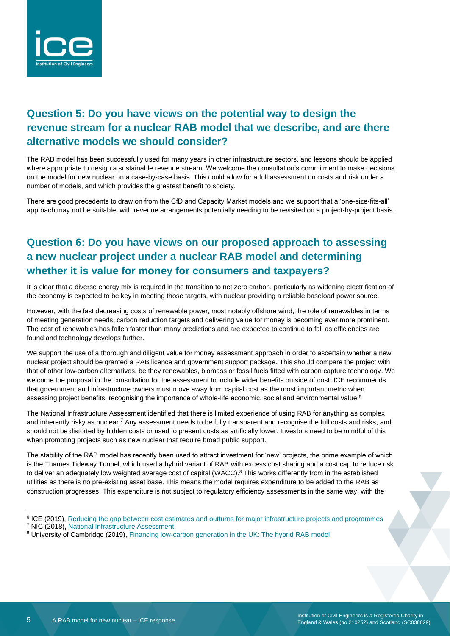

#### **Question 5: Do you have views on the potential way to design the revenue stream for a nuclear RAB model that we describe, and are there alternative models we should consider?**

The RAB model has been successfully used for many years in other infrastructure sectors, and lessons should be applied where appropriate to design a sustainable revenue stream. We welcome the consultation's commitment to make decisions on the model for new nuclear on a case-by-case basis. This could allow for a full assessment on costs and risk under a number of models, and which provides the greatest benefit to society.

There are good precedents to draw on from the CfD and Capacity Market models and we support that a 'one-size-fits-all' approach may not be suitable, with revenue arrangements potentially needing to be revisited on a project-by-project basis.

### **Question 6: Do you have views on our proposed approach to assessing a new nuclear project under a nuclear RAB model and determining whether it is value for money for consumers and taxpayers?**

It is clear that a diverse energy mix is required in the transition to net zero carbon, particularly as widening electrification of the economy is expected to be key in meeting those targets, with nuclear providing a reliable baseload power source.

However, with the fast decreasing costs of renewable power, most notably offshore wind, the role of renewables in terms of meeting generation needs, carbon reduction targets and delivering value for money is becoming ever more prominent. The cost of renewables has fallen faster than many predictions and are expected to continue to fall as efficiencies are found and technology develops further.

We support the use of a thorough and diligent value for money assessment approach in order to ascertain whether a new nuclear project should be granted a RAB licence and government support package. This should compare the project with that of other low-carbon alternatives, be they renewables, biomass or fossil fuels fitted with carbon capture technology. We welcome the proposal in the consultation for the assessment to include wider benefits outside of cost; ICE recommends that government and infrastructure owners must move away from capital cost as the most important metric when assessing project benefits, recognising the importance of whole-life economic, social and environmental value.<sup>6</sup>

The National Infrastructure Assessment identified that there is limited experience of using RAB for anything as complex and inherently risky as nuclear.<sup>7</sup> Any assessment needs to be fully transparent and recognise the full costs and risks, and should not be distorted by hidden costs or used to present costs as artificially lower. Investors need to be mindful of this when promoting projects such as new nuclear that require broad public support.

The stability of the RAB model has recently been used to attract investment for 'new' projects, the prime example of which is the Thames Tideway Tunnel, which used a hybrid variant of RAB with excess cost sharing and a cost cap to reduce risk to deliver an adequately low weighted average cost of capital (WACC).<sup>8</sup> This works differently from in the established utilities as there is no pre-existing asset base. This means the model requires expenditure to be added to the RAB as construction progresses. This expenditure is not subject to regulatory efficiency assessments in the same way, with the

<sup>&</sup>lt;sup>6</sup> ICE (2019), Reducing the gap between cost estimates and [outturns for major infrastructure projects and programmes](https://www.ice.org.uk/getattachment/news-and-insight/policy/gap-between-estimates-and-outturns/ICE-Report-Reducing-the-gap-between-cost-estimates-and-outturns-for-major-infrastructure-projects-and-programmes.pdf.aspx#_ga=2.199774510.1239250141.1570435124-1714938937.1528710932)

<sup>7</sup> NIC (2018), [National Infrastructure Assessment](https://www.nic.org.uk/our-work/national-infrastructure-assessment/)

<sup>8</sup> University of Cambridge (2019), [Financing low-carbon generation in the UK: The hybrid RAB model](https://www.repository.cam.ac.uk/handle/1810/295362)